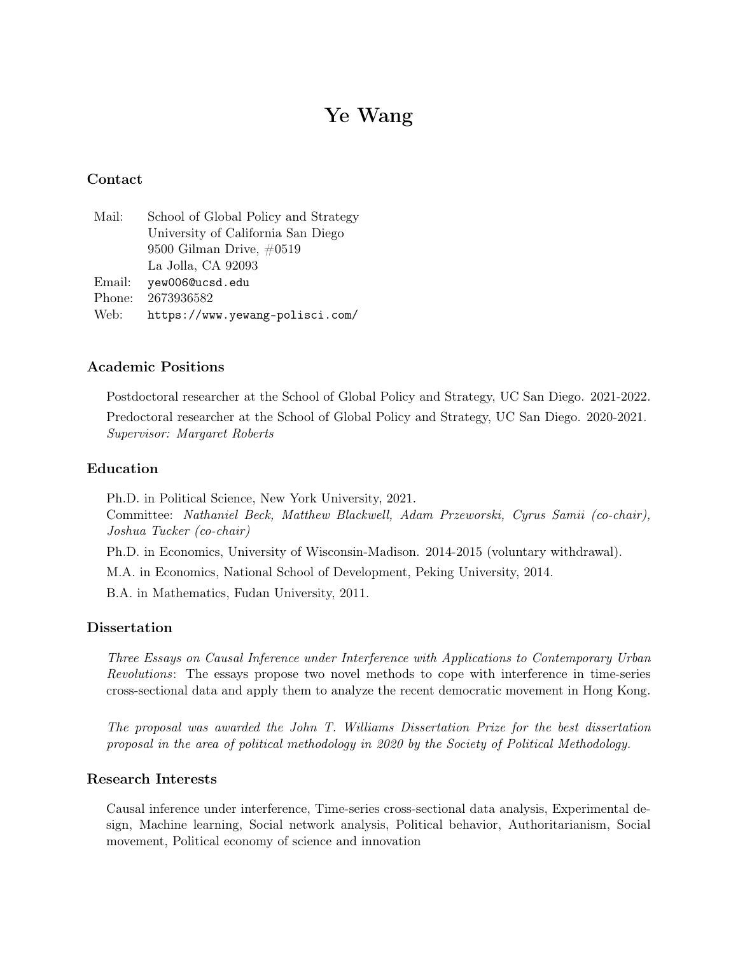# Ye Wang

# Contact

| Mail:  | School of Global Policy and Strategy |
|--------|--------------------------------------|
|        | University of California San Diego   |
|        | 9500 Gilman Drive, $\#0519$          |
|        | La Jolla, CA 92093                   |
| Email: | yew006@ucsd.edu                      |
| Phone: | 2673936582                           |
| Web:   | https://www.yewang-polisci.com/      |

# Academic Positions

Postdoctoral researcher at the School of Global Policy and Strategy, UC San Diego. 2021-2022.

Predoctoral researcher at the School of Global Policy and Strategy, UC San Diego. 2020-2021. Supervisor: Margaret Roberts

## Education

Ph.D. in Political Science, New York University, 2021.

Committee: Nathaniel Beck, Matthew Blackwell, Adam Przeworski, Cyrus Samii (co-chair), Joshua Tucker (co-chair)

Ph.D. in Economics, University of Wisconsin-Madison. 2014-2015 (voluntary withdrawal).

M.A. in Economics, National School of Development, Peking University, 2014.

B.A. in Mathematics, Fudan University, 2011.

## Dissertation

Three Essays on Causal Inference under Interference with Applications to Contemporary Urban Revolutions: The essays propose two novel methods to cope with interference in time-series cross-sectional data and apply them to analyze the recent democratic movement in Hong Kong.

The proposal was awarded the John T. Williams Dissertation Prize for the best dissertation proposal in the area of political methodology in 2020 by the Society of Political Methodology.

## Research Interests

Causal inference under interference, Time-series cross-sectional data analysis, Experimental design, Machine learning, Social network analysis, Political behavior, Authoritarianism, Social movement, Political economy of science and innovation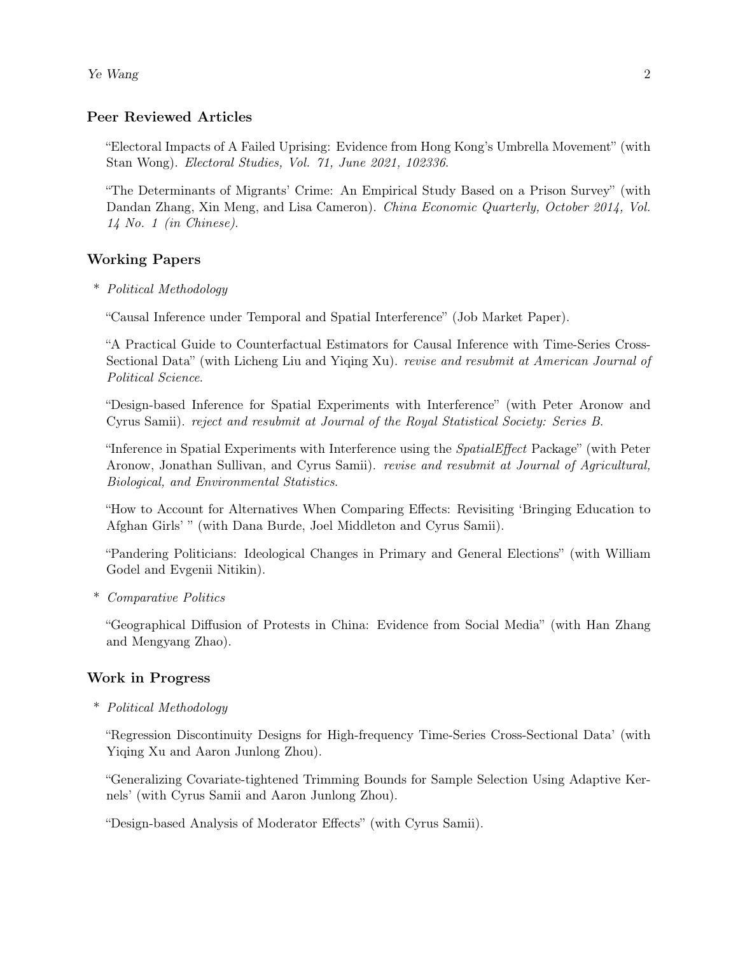Ye Wang 2

# Peer Reviewed Articles

"Electoral Impacts of A Failed Uprising: Evidence from Hong Kong's Umbrella Movement" (with Stan Wong). Electoral Studies, Vol. 71, June 2021, 102336.

"The Determinants of Migrants' Crime: An Empirical Study Based on a Prison Survey" (with Dandan Zhang, Xin Meng, and Lisa Cameron). China Economic Quarterly, October 2014, Vol. 14 No. 1 (in Chinese).

# Working Papers

\* Political Methodology

"Causal Inference under Temporal and Spatial Interference" (Job Market Paper).

"A Practical Guide to Counterfactual Estimators for Causal Inference with Time-Series Cross-Sectional Data" (with Licheng Liu and Yiqing Xu). revise and resubmit at American Journal of Political Science.

"Design-based Inference for Spatial Experiments with Interference" (with Peter Aronow and Cyrus Samii). reject and resubmit at Journal of the Royal Statistical Society: Series B.

"Inference in Spatial Experiments with Interference using the SpatialEffect Package" (with Peter Aronow, Jonathan Sullivan, and Cyrus Samii). revise and resubmit at Journal of Agricultural, Biological, and Environmental Statistics.

"How to Account for Alternatives When Comparing Effects: Revisiting 'Bringing Education to Afghan Girls' " (with Dana Burde, Joel Middleton and Cyrus Samii).

"Pandering Politicians: Ideological Changes in Primary and General Elections" (with William Godel and Evgenii Nitikin).

\* Comparative Politics

"Geographical Diffusion of Protests in China: Evidence from Social Media" (with Han Zhang and Mengyang Zhao).

# Work in Progress

\* Political Methodology

"Regression Discontinuity Designs for High-frequency Time-Series Cross-Sectional Data' (with Yiqing Xu and Aaron Junlong Zhou).

"Generalizing Covariate-tightened Trimming Bounds for Sample Selection Using Adaptive Kernels' (with Cyrus Samii and Aaron Junlong Zhou).

"Design-based Analysis of Moderator Effects" (with Cyrus Samii).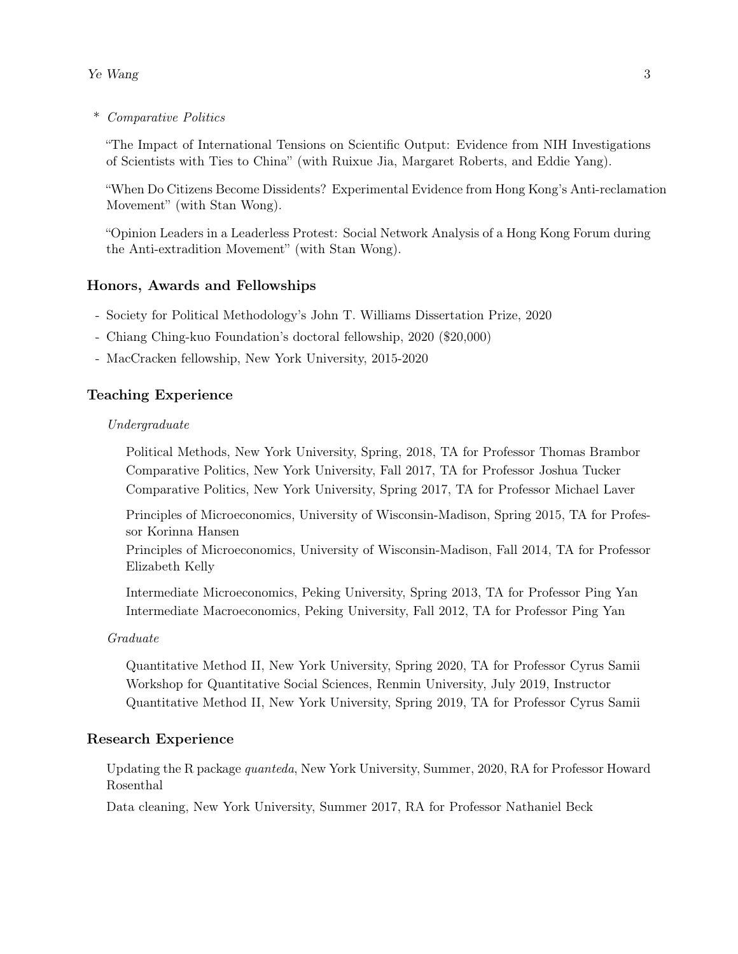\* Comparative Politics

"The Impact of International Tensions on Scientific Output: Evidence from NIH Investigations of Scientists with Ties to China" (with Ruixue Jia, Margaret Roberts, and Eddie Yang).

"When Do Citizens Become Dissidents? Experimental Evidence from Hong Kong's Anti-reclamation Movement" (with Stan Wong).

"Opinion Leaders in a Leaderless Protest: Social Network Analysis of a Hong Kong Forum during the Anti-extradition Movement" (with Stan Wong).

## Honors, Awards and Fellowships

- Society for Political Methodology's John T. Williams Dissertation Prize, 2020
- Chiang Ching-kuo Foundation's doctoral fellowship, 2020 (\$20,000)
- MacCracken fellowship, New York University, 2015-2020

## Teaching Experience

#### Undergraduate

Political Methods, New York University, Spring, 2018, TA for Professor Thomas Brambor Comparative Politics, New York University, Fall 2017, TA for Professor Joshua Tucker Comparative Politics, New York University, Spring 2017, TA for Professor Michael Laver

Principles of Microeconomics, University of Wisconsin-Madison, Spring 2015, TA for Professor Korinna Hansen

Principles of Microeconomics, University of Wisconsin-Madison, Fall 2014, TA for Professor Elizabeth Kelly

Intermediate Microeconomics, Peking University, Spring 2013, TA for Professor Ping Yan Intermediate Macroeconomics, Peking University, Fall 2012, TA for Professor Ping Yan

#### Graduate

Quantitative Method II, New York University, Spring 2020, TA for Professor Cyrus Samii Workshop for Quantitative Social Sciences, Renmin University, July 2019, Instructor Quantitative Method II, New York University, Spring 2019, TA for Professor Cyrus Samii

#### Research Experience

Updating the R package quanteda, New York University, Summer, 2020, RA for Professor Howard Rosenthal

Data cleaning, New York University, Summer 2017, RA for Professor Nathaniel Beck